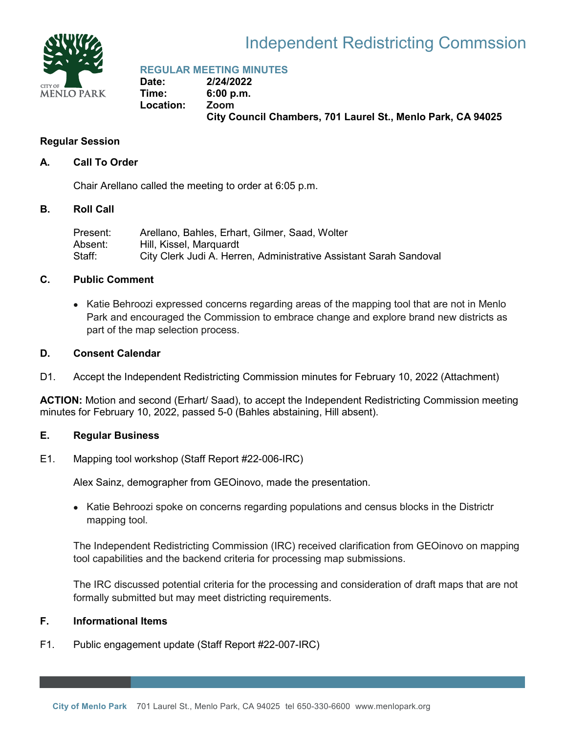

# Independent Redistricting Commssion

**REGULAR MEETING MINUTES**

**Date: 2/24/2022 Time: 6:00 p.m. Location: Zoom City Council Chambers, 701 Laurel St., Menlo Park, CA 94025**

# **Regular Session**

### **A. Call To Order**

Chair Arellano called the meeting to order at 6:05 p.m.

#### **B. Roll Call**

| Present: | Arellano, Bahles, Erhart, Gilmer, Saad, Wolter                     |
|----------|--------------------------------------------------------------------|
| Absent:  | Hill, Kissel, Marquardt                                            |
| Staff:   | City Clerk Judi A. Herren, Administrative Assistant Sarah Sandoval |

# **C. Public Comment**

• Katie Behroozi expressed concerns regarding areas of the mapping tool that are not in Menlo Park and encouraged the Commission to embrace change and explore brand new districts as part of the map selection process.

# **D. Consent Calendar**

D1. Accept the Independent Redistricting Commission minutes for February 10, 2022 (Attachment)

**ACTION:** Motion and second (Erhart/ Saad), to accept the Independent Redistricting Commission meeting minutes for February 10, 2022, passed 5-0 (Bahles abstaining, Hill absent).

### **E. Regular Business**

E1. Mapping tool workshop (Staff Report #22-006-IRC)

Alex Sainz, demographer from GEOinovo, made the presentation.

• Katie Behroozi spoke on concerns regarding populations and census blocks in the Districtr mapping tool.

The Independent Redistricting Commission (IRC) received clarification from GEOinovo on mapping tool capabilities and the backend criteria for processing map submissions.

The IRC discussed potential criteria for the processing and consideration of draft maps that are not formally submitted but may meet districting requirements.

# **F. Informational Items**

F1. Public engagement update (Staff Report #22-007-IRC)